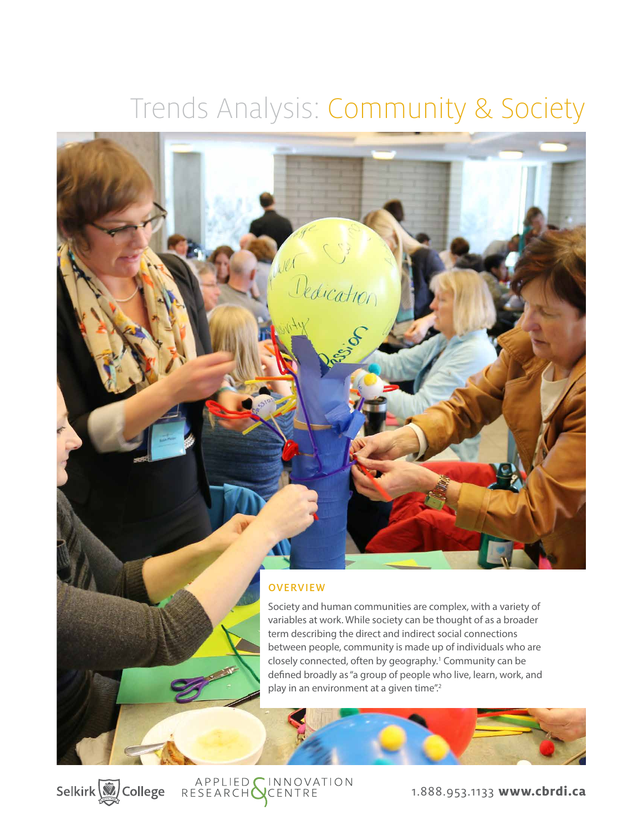# Trends Analysis: Community & Society



# **OVERVIEW**

APPLIED CINNOVATION<br>RESEARCH CENTRE

Selkirk (2) College

Society and human communities are complex, with a variety of variables at work. While society can be thought of as a broader term describing the direct and indirect social connections between people, community is made up of individuals who are closely connected, often by geography.<sup>1</sup> Community can be defined broadly as "a group of people who live, learn, work, and play in an environment at a given time".<sup>2</sup>

1.888.953.1133 **www.cbrdi.ca**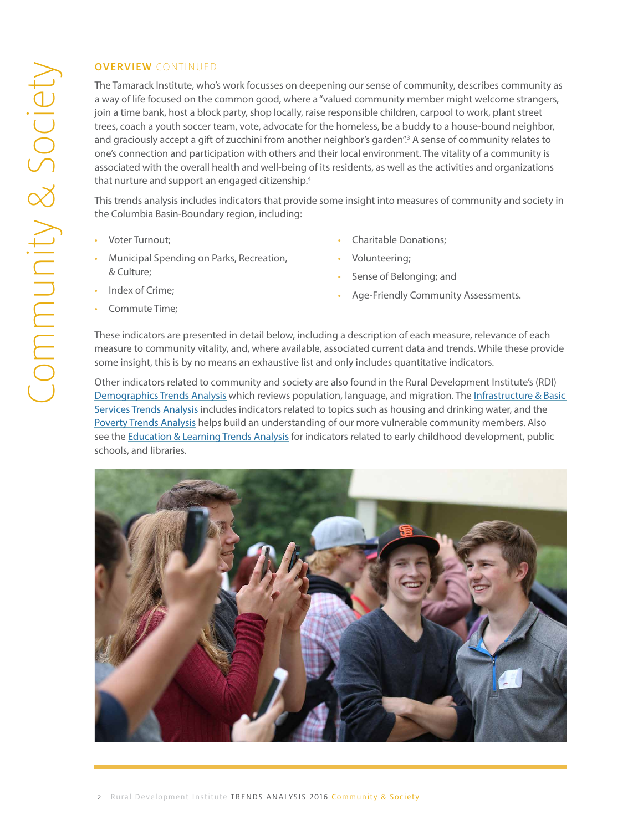The Tamarack Institute, who's work focusses on deepening our sense of community, describes community as a way of life focused on the common good, where a "valued community member might welcome strangers, join a time bank, host a block party, shop locally, raise responsible children, carpool to work, plant street trees, coach a youth soccer team, vote, advocate for the homeless, be a buddy to a house-bound neighbor, and graciously accept a gift of zucchini from another neighbor's garden".<sup>3</sup> A sense of community relates to one's connection and participation with others and their local environment. The vitality of a community is associated with the overall health and well-being of its residents, as well as the activities and organizations that nurture and support an engaged citizenship.<sup>4</sup>

This trends analysis includes indicators that provide some insight into measures of community and society in the Columbia Basin-Boundary region, including:

- [Voter Turnout](#page-2-0);
- [Municipal Spending on Parks, Recreation,](#page-4-0)  [& Culture](#page-4-0);
- [Index of Crime;](#page-5-0)
- [Commute Time](#page-7-0);
- [Charitable Donations](#page-8-0);
- [Volunteering](#page-11-0);
- [Sense of Belonging;](#page-12-0) and
- [Age-Friendly Community Assessments](#page-12-0).

These indicators are presented in detail below, including a description of each measure, relevance of each measure to community vitality, and, where available, associated current data and trends. While these provide some insight, this is by no means an exhaustive list and only includes quantitative indicators.

Other indicators related to community and society are also found in the Rural Development Institute's (RDI) [Demographics Trends Analysis](http://datacat.cbrdi.ca/sites/default/files/attachments/TA_Demographics_2016.pdf) which reviews population, language, and migration. The [Infrastructure & Basic](http://datacat.cbrdi.ca/sites/default/files/attachments/TA_BasicServices_2016.pdf )  [Services Trends Analysis](http://datacat.cbrdi.ca/sites/default/files/attachments/TA_BasicServices_2016.pdf ) includes indicators related to topics such as housing and drinking water, and the [Poverty Trends Analysis](http://datacat.cbrdi.ca/sites/default/files/attachments/TA_Poverty_2016.pdf ) helps build an understanding of our more vulnerable community members. Also see the [Education & Learning Trends Analysis](http://datacat.cbrdi.ca/sites/default/files/attachments/TA_Education_2016.pdf ) for indicators related to early childhood development, public schools, and libraries.

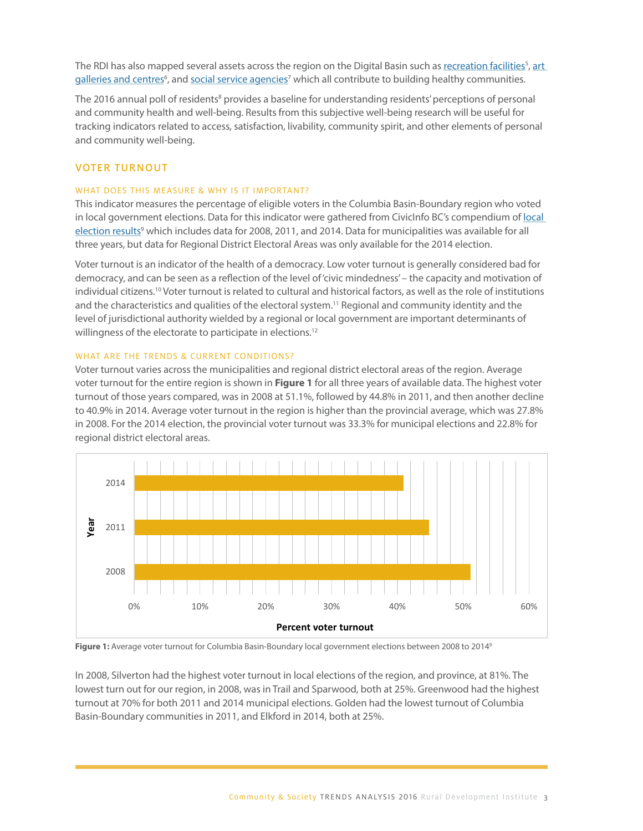<span id="page-2-0"></span>The RDI has also mapped several assets across the region on the Digital Basin such as <u>[recreation facilities](http://datacat.cbrdi.ca/digitalbasin/wpPrtDriver.php?Community=Select%2520a%2520Community&Theme=Recreation&Pillar=Cultural&Category=Recreation%20Facilities&AdjustExtent=1)<sup>s</sup>, art</u> galleries and centres<sup>6</sup>, and <u>social service agencies</u><sup>7</sup> which all contribute to building healthy communities.

The 2016 annual poll of residents<sup>8</sup> provides a baseline for understanding residents' perceptions of personal and community health and well-being. Results from this subjective well-being research will be useful for tracking indicators related to access, satisfaction, livability, community spirit, and other elements of personal and community well-being. *What does this measure & why is it important?* 

# **THIS INDICATOR TURNOUT** THIS INDICATOR MEASURES THE PERCENTAGE OF ELIGIBLE VOTERS IN THE COLUMBIA BASIN-BOUNDARY REGION WHO WAS INDICATOR OF ELIGIBLE VON DE COLUMBIA BASIN-BOUNDARY REGION WHO WAS INTERFERING WHO WAS INDIC

## WHAT DOES THIS MEASURE & WHY IS IT IMPORTANT?

This indicator measures the percentage of eligible voters in the Columbia Basin-Boundary region who voted in [local](http://www.civicinfo.bc.ca/election) government elections. Data for this indicator were gathered from CivicInfo BC's compendium of <u>local</u> [election results](http://www.civicinfo.bc.ca/election)<sup>9</sup> which includes data for 2008, 2011, and 2014. Data for municipalities was available for all three years, but data for Regional District Electoral Areas was only available for the 2014 election.

Voter turnout is an indicator of the health of a democracy. Low voter turnout is generally considered bad for democracy, and can be seen as a reflection of the level of 'civic mindedness' – the capacity and motivation of individual citizens.<sup>10</sup> Voter turnout is related to cultural and historical factors, as well as the role of institutions and the characteristics and qualities of the electoral system.<sup>11</sup> Regional and community identity and the level of jurisdictional authority wielded by a regional or local government are important determinants of willingness of the electorate to participate in elections.<sup>12</sup> *What are the trends & current conditions?* 

# WHAT ARE THE TRENDS & CURRENT CONDITIONS?

Voter turnout varies across the municipalities and regional district electoral areas of the region. Average voter turnout for the entire region is shown in **Figure 1** for all three years of available data. The highest voter<br>
voter turnout for the entire region is shown in **Figure 1** for all three years of available data. The hig turnout of those years compared, was in 2008 at 51.1%, followed by 44.8% in 2011, and then another decline to 4<br>Another than the process in the provincial in the provincial in the provincial in the process in the process o to 40.9% in 2014. Average voter turnout in the region is higher than the provincial average, which was 27.8% to 40.9% in 2014. Average voter turnout in the region is ingrier than the provincial average, which was 27.8%<br>in 2008. For the 2014 election, the provincial voter turnout was 33.3% for municipal elections and 22.8% for m 2000. For the 2014 election, the provincial voter tambut was 33.3% for regional district electoral areas.



**Figure 1:** Average voter turnout for Columbia Basin-Boundary local government elections between 2008 to 2014°

In 2008, Silverton had the highest voter turnout in local elections of the region, and province, at 81%. The In 2008, Silverton had the highest voter turnout in local elections of the region, and province, at 81%. lowest turn out for our region, in 2008, was in Trail and Sparwood, both at 25%. Greenwood had the highest turnout at 70% for both 2011 and 2014 municipal elections. Golden had the lowest turnout of Columbia Basin-Boundary communities in 2011, and Elkford in 2014, both at 25%.

Kootenay Area C. There were no acclamations in 2008, while in 2011 four municipal councils were acclaimed (Canal Flats, Elki $\epsilon$  Elkford, Salmo, and Warfield), and in 2014 there were three acclaimed (New York  $\epsilon$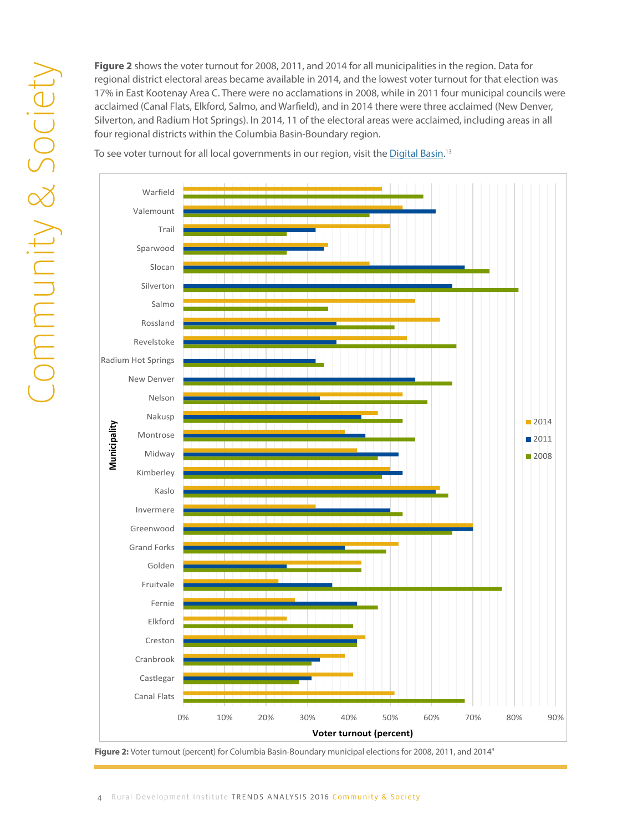regional district electoral areas became available in 2014, and the lowest voter turnout for that election was 17% in East Kootenay Area C. There were no acclamations in 2008, while in 2011 four municipal councils were acclaimed (Canal Flats, Elkford, Salmo, and Warfield), and in 2014 there were three acclaimed (New Denver, Silverton, and Radium Hot Springs). In 2014, 11 of the electoral areas were acclaimed, including areas in all four regional districts within the Columbia Basin-Boundary region. areas in all four regional districts within the Columbia Basin-Boundary region.

To see voter turnout for all local governments in our region, visit the <u>Digital Basin</u>.<sup>13</sup>



Figure 2: Voter turnout (percent) for Columbia Basin-Boundary municipal elections for 2008, 2011, and 2014<sup>9</sup>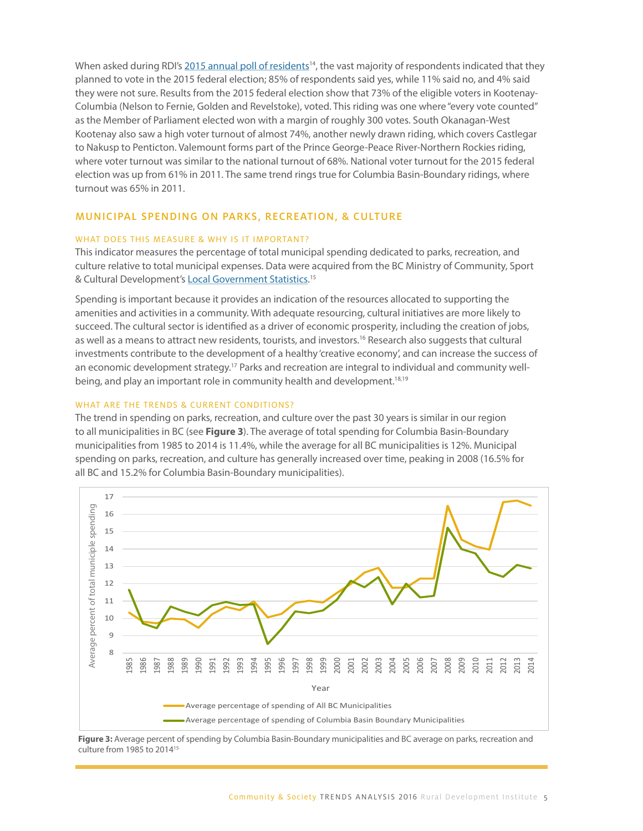<span id="page-4-0"></span>When asked during RDI's 2015 annual poll of residents<sup>14</sup>, the vast majority of respondents indicated that they planned to vote in the 2015 federal election; 85% of respondents said yes, while 11% said no, and 4% said they were not sure. Results from the 2015 federal election show that 73% of the eligible voters in Kootenay-Columbia (Nelson to Fernie, Golden and Revelstoke), voted. This riding was one where "every vote counted" as the Member of Parliament elected won with a margin of roughly 300 votes. South Okanagan-West Kootenay also saw a high voter turnout of almost 74%, another newly drawn riding, which covers Castlegar to Nakusp to Penticton. Valemount forms part of the Prince George-Peace River-Northern Rockies riding, where voter turnout was similar to the national turnout of 68%. National voter turnout for the 2015 federal election was up from 61% in 2011. The same trend rings true for Columbia Basin-Boundary ridings, where turnout was 65% in 2011.

#### MUNICIPAL SPENDING ON PARKS, RECREATION, & CULTURE

#### WHAT DOES THIS MEASURE & WHY IS IT IMPORTANT?

This indicator measures the percentage of total municipal spending dedicated to parks, recreation, and culture relative to total municipal expenses. Data were acquired from the BC Ministry of Community, Sport & Cultural Development's [Local Government Statistics](http://www.cscd.gov.bc.ca/lgd/infra/statistics_index.htm).<sup>15</sup>

Spending is important because it provides an indication of the resources allocated to supporting the amenities and activities in a community. With adequate resourcing, cultural initiatives are more likely to succeed. The cultural sector is identified as a driver of economic prosperity, including the creation of jobs, as well as a means to attract new residents, tourists, and investors.<sup>16</sup> Research also suggests that cultural investments contribute to the development of a healthy 'creative economy', and can increase the success of an economic development strategy.<sup>17</sup> Parks and recreation are integral to individual and community wellbeing, and play an important role in community health and development.<sup>18,19</sup>

#### WHAT ARE THE TRENDS & CURRENT CONDITIONS?

The trend in spending on parks, recreation, and culture over the past 30 years is similar in our region to all municipalities in BC (see **Figure 3**). The average of total spending for Columbia Basin-Boundary municipalities from 1985 to 2014 is 11.4%, while the average for all BC municipalities is 12%. Municipal spending on parks, recreation, and culture has generally increased over time, peaking in 2008 (16.5% for all BC and 15.2% for Columbia Basin-Boundary municipalities).



Figure 3: Average percent of spending by Columbia Basin-Boundary municipalities and BC average on parks, recreation and **recreation and culture from 1985 to 2014** <sup>15</sup>

Several communities in our region show above average spending on parks, recreation, and culture over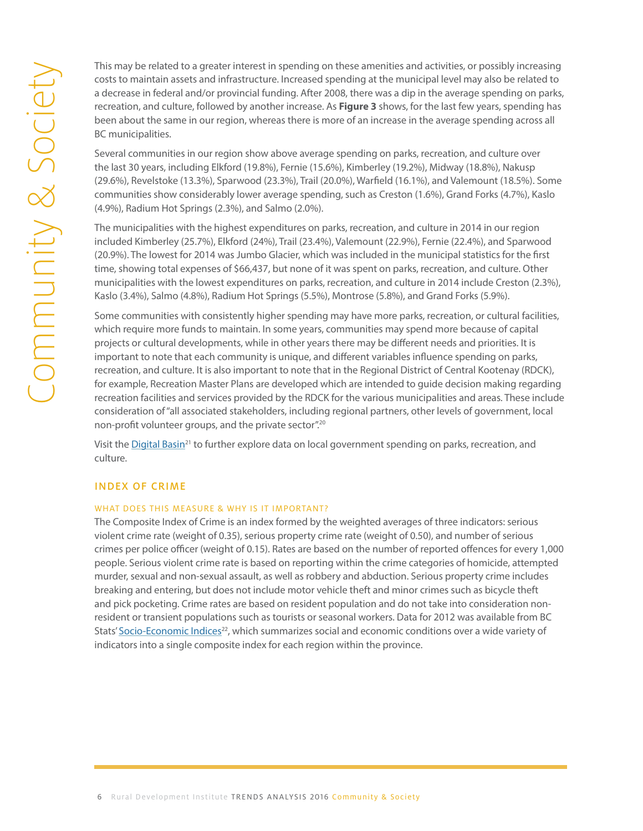costs to maintain assets and infrastructure. Increased spending at the municipal level may also be related to a decrease in federal and/or provincial funding. After 2008, there was a dip in the average spending on parks, recreation, and culture, followed by another increase. As **Figure 3** shows, for the last few years, spending has been about the same in our region, whereas there is more of an increase in the average spending across all BC municipalities.

Several communities in our region show above average spending on parks, recreation, and culture over the last 30 years, including Elkford (19.8%), Fernie (15.6%), Kimberley (19.2%), Midway (18.8%), Nakusp (29.6%), Revelstoke (13.3%), Sparwood (23.3%), Trail (20.0%), Warfield (16.1%), and Valemount (18.5%). Some communities show considerably lower average spending, such as Creston (1.6%), Grand Forks (4.7%), Kaslo (4.9%), Radium Hot Springs (2.3%), and Salmo (2.0%).

The municipalities with the highest expenditures on parks, recreation, and culture in 2014 in our region included Kimberley (25.7%), Elkford (24%), Trail (23.4%), Valemount (22.9%), Fernie (22.4%), and Sparwood (20.9%). The lowest for 2014 was Jumbo Glacier, which was included in the municipal statistics for the first time, showing total expenses of \$66,437, but none of it was spent on parks, recreation, and culture. Other municipalities with the lowest expenditures on parks, recreation, and culture in 2014 include Creston (2.3%), Kaslo (3.4%), Salmo (4.8%), Radium Hot Springs (5.5%), Montrose (5.8%), and Grand Forks (5.9%).

<span id="page-5-0"></span>This may be related to a greater interest in spending on these amenities and activities, or possibly increases to relate to a decrease in federal and/or provincial funding. After 2008, there was a dip in the average spendi Some communities with consistently higher spending may have more parks, recreation, or cultural facilities, which require more funds to maintain. In some years, communities may spend more because of capital projects or cultural developments, while in other years there may be different needs and priorities. It is important to note that each community is unique, and different variables influence spending on parks, recreation, and culture. It is also important to note that in the Regional District of Central Kootenay (RDCK), for example, Recreation Master Plans are developed which are intended to guide decision making regarding recreation facilities and services provided by the RDCK for the various municipalities and areas. These include consideration of "all associated stakeholders, including regional partners, other levels of government, local non-profit volunteer groups, and the private sector".20

> Visit the [Digital Basin](http://datacat.cbrdi.ca/digitalbasin/wpPrtDriver.php?Community=Select%2520a%2520Community&Theme=Culture&Pillar=Cultural&Category=Local Govt $ on Parks, Rec, Culture)<sup>21</sup> to further explore data on local government spending on parks, recreation, and culture.

### INDEX OF CRIME

#### WHAT DOES THIS MEASURE & WHY IS IT IMPORTANT?

The Composite Index of Crime is an index formed by the weighted averages of three indicators: serious violent crime rate (weight of 0.35), serious property crime rate (weight of 0.50), and number of serious crimes per police officer (weight of 0.15). Rates are based on the number of reported offences for every 1,000 people. Serious violent crime rate is based on reporting within the crime categories of homicide, attempted murder, sexual and non-sexual assault, as well as robbery and abduction. Serious property crime includes breaking and entering, but does not include motor vehicle theft and minor crimes such as bicycle theft and pick pocketing. Crime rates are based on resident population and do not take into consideration nonresident or transient populations such as tourists or seasonal workers. Data for 2012 was available from BC Stats' [Socio-Economic Indices](http://www.bcstats.gov.bc.ca/StatisticsBySubject/SocialStatistics/SocioEconomicProfilesIndices/SocioEconomicIndices/LHAReports.aspx)<sup>22</sup>, which summarizes social and economic conditions over a wide variety of indicators into a single composite index for each region within the province.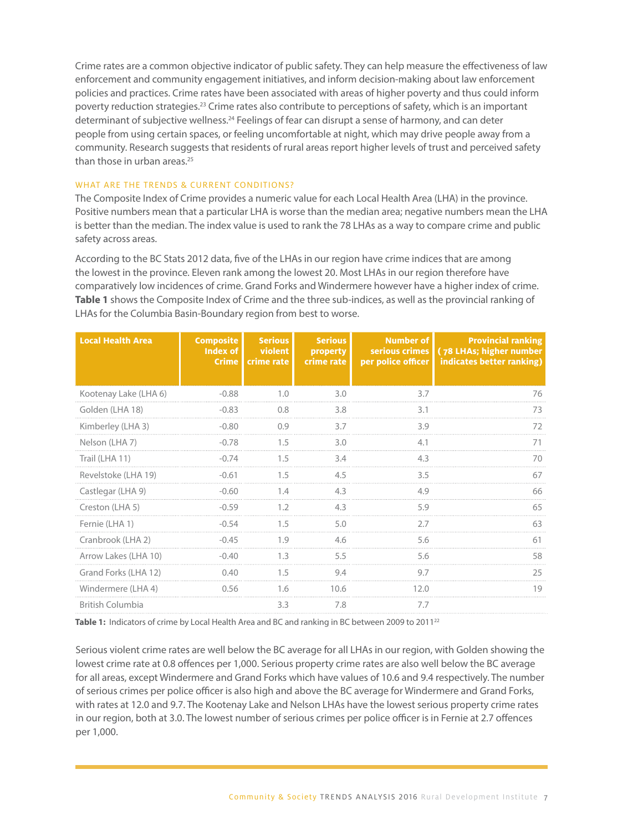Crime rates are a common objective indicator of public safety. They can help measure the effectiveness of law enforcement and community engagement initiatives, and inform decision-making about law enforcement policies and practices. Crime rates have been associated with areas of higher poverty and thus could inform poverty reduction strategies.23 Crime rates also contribute to perceptions of safety, which is an important determinant of subjective wellness.<sup>24</sup> Feelings of fear can disrupt a sense of harmony, and can deter people from using certain spaces, or feeling uncomfortable at night, which may drive people away from a community. Research suggests that residents of rural areas report higher levels of trust and perceived safety than those in urban areas.<sup>25</sup>

#### WHAT ARE THE TRENDS & CURRENT CONDITIONS?

The Composite Index of Crime provides a numeric value for each Local Health Area (LHA) in the province. Positive numbers mean that a particular LHA is worse than the median area; negative numbers mean the LHA is better than the median. The index value is used to rank the 78 LHAs as a way to compare crime and public safety across areas.

According to the BC Stats 2012 data, five of the LHAs in our region have crime indices that are among the lowest in the province. Eleven rank among the lowest 20. Most LHAs in our region therefore have comparatively low incidences of crime. Grand Forks and Windermere however have a higher index of crime. **Table 1** shows the Composite Index of Crime and the three sub-indices, as well as the provincial ranking of LHAs for the Columbia Basin-Boundary region from best to worse.

| <b>Local Health Area</b> | <b>Composite</b><br>Index of  <br>Crime | <b>Serious</b><br>violent<br>crime rate | <b>Serious</b><br>property<br>crime rate | Number of<br>per police officer | <b>Provincial ranking</b><br>serious crimes   (78 LHAs; higher number<br>indicates better ranking) |
|--------------------------|-----------------------------------------|-----------------------------------------|------------------------------------------|---------------------------------|----------------------------------------------------------------------------------------------------|
| Kootenay Lake (LHA 6)    | $-0.88$                                 | 1.0                                     | 3.0                                      | 3.7                             | 76                                                                                                 |
| Golden (LHA 18)          | $-0.83$                                 | 0.8                                     | 3.8                                      | 3.1                             | 73                                                                                                 |
| Kimberley (LHA 3)        | $-0.80$                                 | 0.9                                     | 3.7                                      | 3.9                             | 72                                                                                                 |
| Nelson (LHA 7)           | $-0.78$                                 | 1.5                                     | 3.0                                      | 4.1                             | 71                                                                                                 |
| Trail (LHA 11)           | $-0.74$                                 | 1.5                                     | 3.4                                      | 4.3                             | 70                                                                                                 |
| Revelstoke (LHA 19)      | $-0.61$                                 | 1.5                                     | 4.5                                      | 3.5                             | 67                                                                                                 |
| Castlegar (LHA 9)        | $-0.60$                                 | 1.4                                     | 4.3                                      | 4.9                             | 66                                                                                                 |
| Creston (LHA 5)          | $-0.59$                                 | 1.2                                     | 4.3                                      | 5.9                             | 65                                                                                                 |
| Fernie (LHA 1)           | $-0.54$                                 | 1.5                                     | 5.0                                      | 2.7                             | 63                                                                                                 |
| Cranbrook (LHA 2)        | $-0.45$                                 | 1.9                                     | 4.6                                      | 5.6                             | 61                                                                                                 |
| Arrow Lakes (LHA 10)     | $-0.40$                                 | 1.3                                     | 5.5                                      | 5.6                             | 58                                                                                                 |
| Grand Forks (LHA 12)     | 0.40                                    | 1.5                                     | 9.4                                      | 9.7                             | 25                                                                                                 |
| Windermere (LHA 4)       | 0.56                                    | 1.6                                     | 10.6                                     | 12.0                            | 19                                                                                                 |
| <b>British Columbia</b>  |                                         | 3.3                                     | 7.8                                      | 7.7                             |                                                                                                    |
|                          |                                         |                                         |                                          |                                 |                                                                                                    |

Table 1: Indicators of crime by Local Health Area and BC and ranking in BC between 2009 to 2011<sup>22</sup>

Serious violent crime rates are well below the BC average for all LHAs in our region, with Golden showing the lowest crime rate at 0.8 offences per 1,000. Serious property crime rates are also well below the BC average for all areas, except Windermere and Grand Forks which have values of 10.6 and 9.4 respectively. The number of serious crimes per police officer is also high and above the BC average for Windermere and Grand Forks, with rates at 12.0 and 9.7. The Kootenay Lake and Nelson LHAs have the lowest serious property crime rates in our region, both at 3.0. The lowest number of serious crimes per police officer is in Fernie at 2.7 offences per 1,000.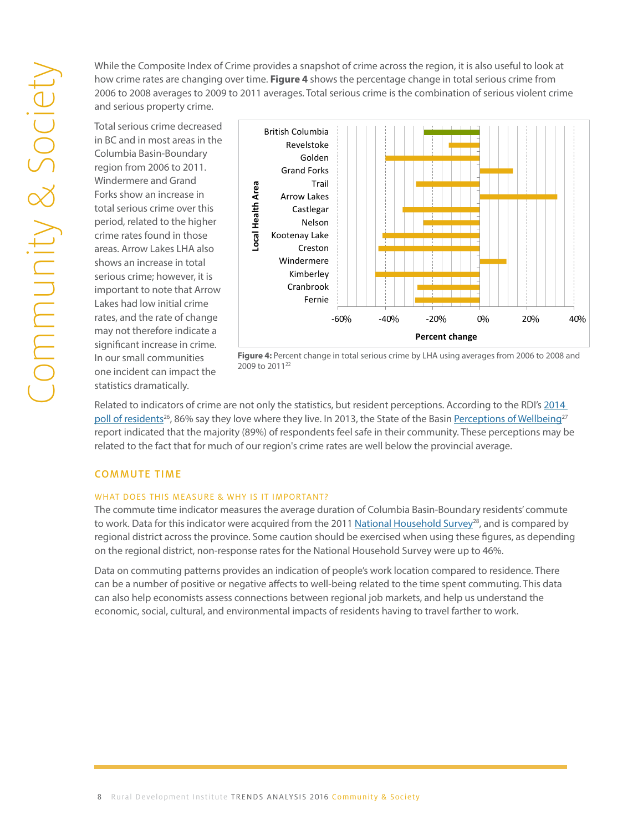while the composite mean of crime provides a shapshot of entire deross the region, it is also aserar to foon at<br>how crime rates are changing over time. **Figure 4** shows the percentage change in total serious crime from now chine faces are changing over time. **Figure 4** shows the percentage enange in total serious crime from increa<br>2006 to 2008 averages to 2009 to 2011 averages. Total serious crime is the combination of serious violent cr and serious property crime. While the Composite Index of Crime provides a snapshot of crime across the region, it is also useful to look at zo i i averages. Total serious emile is the combina

Total serious crime decreased in BC and in most areas in the Columbia Basin-Boundary region from 2006 to 2011. Windermere and Grand Forks show an increase in total serious crime over this period, related to the higher crime rates found in those areas. Arrow Lakes LHA also shows an increase in total serious crime; however, it is important to note that Arrow Lakes had low initial crime rates, and the rate of change may not therefore indicate a significant increase in crime. In our small communities one incident can impact the statistics dramatically.

<span id="page-7-0"></span>

**Figure 4: Percent change in total serious crime by LHA using averages from 2006 to 2008 and 2009 to 2011**<sup>22</sup> **Figure 4:** Percent change in total serious crime by LHA using averages from 2006 to 2008 and 2009 to 2011<sup>22</sup>

Related to indicators of crime are not only the statistics, but resident perceptions. According to the RDI's 2014 poll of residents<sup>26</sup>, 86% say they love where they live. In 2013, the State of the Basin <u>Perceptions of Wellbeing<sup>27</sup></u> report indicated that the majority (89%) of respondents feel safe in their community. These perceptions may be related to the fact that for much of our region's crime rates are well below the provincial average.

### COMMUTE TIME

#### WHAT DOES THIS MEASURE & WHY IS IT IMPORTANT?

The commute time indicator measures the average duration of Columbia Basin-Boundary residents' commute to work. Data for this indicator were acquired from the 2011 National Household Survey<sup>28</sup>, and is compared by regional district across the province. Some caution should be exercised when using these figures, as depending on the regional district, non-response rates for the National Household Survey were up to 46%.

Data on commuting patterns provides an indication of people's work location compared to residence. There can be a number of positive or negative affects to well-being related to the time spent commuting. This data can also help economists assess connections between regional job markets, and help us understand the economic, social, cultural, and environmental impacts of residents having to travel farther to work.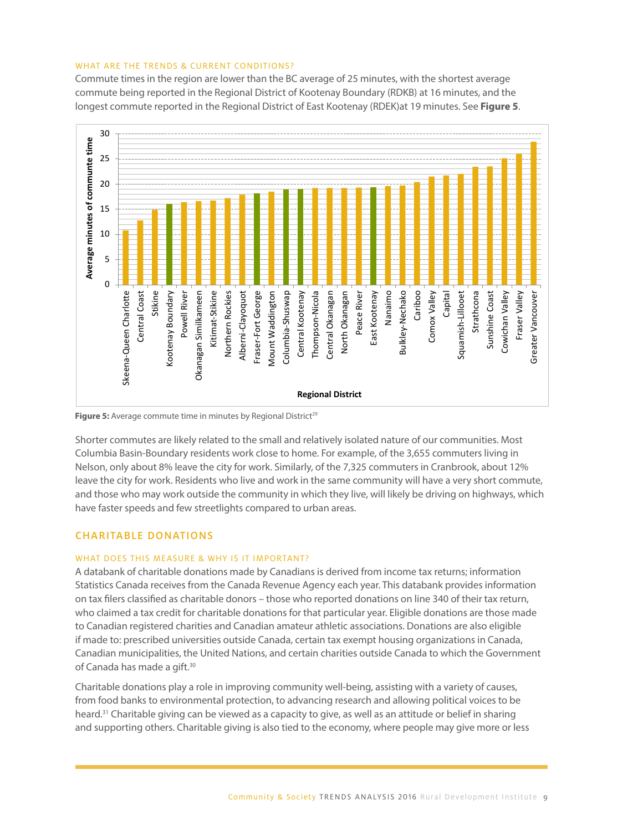#### <span id="page-8-0"></span>WHAT ARE THE TRENDS & CURRENT CONDITIONS?

Commute times in the region are lower than the BC average of 25 minutes, with the shortest average commute being reported in the Regional District of Kootenay Boundary (RDKB) at 16 minutes, and the longest commute reported in the Regional District of East Kootenay (RDEK)at 19 minutes. See **Figure 5**.



**Figure 5:** Average commute time in minutes by Regional District<sup>29</sup>

Shorter commutes are likely related to the small and relatively isolated nature of our communities. Most Shorter commutes are likely related to the small and relatively isolated nature of our communities. Mosi<br>Columbia Basin-Boundary residents work close to home. For example, of the 3,655 commuters living in Nelson, only about 8% leave the city for work. Similarly, of the 7,325 commuters in Cranbrook, about 12% leave the city for work. Residents who live and work in the same community will have a very short commute, and those who may work outside the community in which they live, will likely be driving on highways, which information on tax filers compared to urban areas. their tax return, who claimed a tax credit for charitable donations for that particular year. Eligible

#### CHARITABLE DONATIONS donations are those made to Canadian registered charities and Canadian amateur athletic associations. Donations are also eligible if made to: prescribed universities outside Canada, certain tax exempt

# WHAT DOES THIS MEASURE & WHY IS IT IMPORTANT?

A databank of charitable donations made by Canadians is derived from income tax returns; information Statistics Canada receives from the Canada Revenue Agency each year. This databank provides information on tax filers classified as charitable donors - those who reported donations on line 340 of their tax return, who claimed a tax credit for charitable donations for that particular year. Eligible donations are those made to Canadian registered charities and Canadian amateur athletic associations. Donations are also eligible if made to: prescribed universities outside Canada, certain tax exempt housing organizations in Canada, Canadian municipalities, the United Nations, and certain charities outside Canada to which the Government of Canada has made a gift.<sup>30</sup>

Charitable donations play a role in improving community well-being, assisting with a variety of causes, from food banks to environmental protection, to advancing research and allowing political voices to be heard.<sup>31</sup> Charitable giving can be viewed as a capacity to give, as well as an attitude or belief in sharing and supporting others. Charitable giving is also tied to the economy, where people may give more or less

9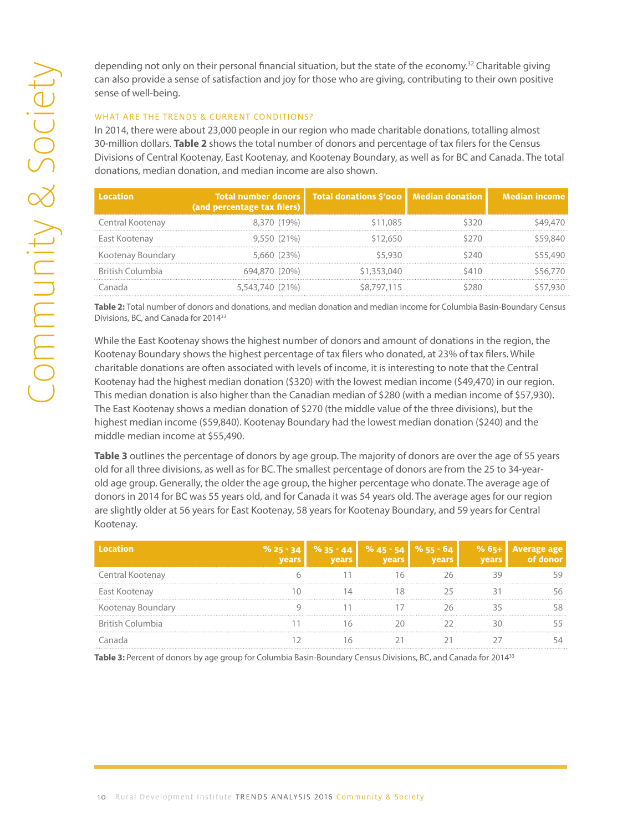can also provide a sense of satisfaction and joy for those who are giving, contributing to their own positive sense of well-being.

#### WHAT ARE THE TRENDS & CURRENT CONDITIONS?

| In 2014, there were about 23,000 people in our region who made charitable donations, totalling almost<br>30-million dollars. Table 2 shows the total number of donors and percentage of tax filers for the Census<br>Divisions of Central Kootenay, East Kootenay, and Kootenay Boundary, as well as for BC and Canada. The total<br>donations, median donation, and median income are also shown. |                                                           |                               |                        |                      |
|----------------------------------------------------------------------------------------------------------------------------------------------------------------------------------------------------------------------------------------------------------------------------------------------------------------------------------------------------------------------------------------------------|-----------------------------------------------------------|-------------------------------|------------------------|----------------------|
| <b>Location</b>                                                                                                                                                                                                                                                                                                                                                                                    | <b>Total number donors</b><br>(and percentage tax filers) | <b>Total donations \$'000</b> | <b>Median donation</b> | <b>Median income</b> |
| Central Kootenay                                                                                                                                                                                                                                                                                                                                                                                   | 8,370 (19%)                                               | \$11,085                      | \$320                  |                      |
| East Kootenay                                                                                                                                                                                                                                                                                                                                                                                      | 9,550 (21%)                                               | \$12,650                      | \$270                  |                      |
| Kootenay Boundary                                                                                                                                                                                                                                                                                                                                                                                  | 5,660 (23%)                                               | \$5,930                       | \$240                  |                      |
| <b>British Columbia</b>                                                                                                                                                                                                                                                                                                                                                                            | 694,870 (20%)                                             | \$1,353,040                   | \$410                  |                      |
| Canada                                                                                                                                                                                                                                                                                                                                                                                             | 5,543,740 (21%)                                           | \$8,797,115                   | \$280                  |                      |
| Table 2: Total number of donors and donations, and median donation and median income for Columbia Basin-Boundary Census<br>Divisions, BC, and Canada for 2014 <sup>33</sup>                                                                                                                                                                                                                        |                                                           |                               |                        |                      |

While the East Kootenay shows the highest number of donors and amount of donations in the region, the Kootenay Boundary shows the highest percentage of tax filers who donated, at 23% of tax filers. While charitable donations are often associated with levels of income, it is interesting to note that the Central Kootenay had the highest median donation (\$320) with the lowest median income (\$49,470) in our region. This median donation is also higher than the Canadian median of \$280 (with a median income of \$57,930). The East Kootenay shows a median donation of \$270 (the middle value of the three divisions), but the highest median income (\$59,840). Kootenay Boundary had the lowest median donation (\$240) and the middle median income at \$55,490.

**Table 3** outlines the percentage of donors by age group. The majority of donors are over the age of 55 years old for all three divisions, as well as for BC. The smallest percentage of donors are from the 25 to 34-yearold age group. Generally, the older the age group, the higher percentage who donate. The average age of donors in 2014 for BC was 55 years old, and for Canada it was 54 years old. The average ages for our region are slightly older at 56 years for East Kootenay, 58 years for Kootenay Boundary, and 59 years for Central Kootenay.

|                  | $% 25 - 34$ | $\frac{9635 - 44}{ }$ | $% 45 - 54$ | % 55 - 64 |  |
|------------------|-------------|-----------------------|-------------|-----------|--|
| Central Kootenay |             |                       |             |           |  |
| East Kootenay    |             |                       |             |           |  |
| Kootenay Bour    |             |                       |             |           |  |
| British Columbia |             |                       |             |           |  |
|                  |             |                       |             |           |  |

Table 3: Percent of donors by age group for Columbia Basin-Boundary Census Divisions, BC, and Canada for 2014<sup>33</sup>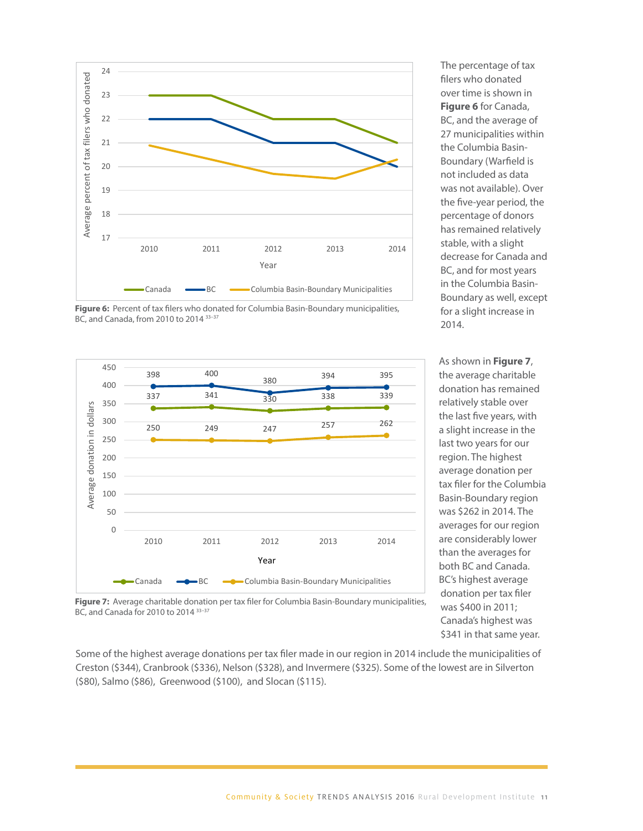

**Figure 1: <b>EXECOLUMBIA BASIN-BOUNDARY MUNICIPALITY** MUNICIPALITY MUNICIPALITY MUNICIPALITY MUNICIPALITY MUNICIPALITY MUNICIPALITY MUNICIPALITY MUNICIPALITY MUNICIPALITY OF A **COLUMBIA BASIN** Figure 6: Percent of tax filers who donated for Columbia Basin-Boundary municipalities,



The percentage of tax filers who donated over time is shown in **Figure 6** for Canada, BC, and the average of 27 municipalities within the Columbia Basin-Boundary (Warfield is not included as data was not available). Over the five-year period, the percentage of donors has remained relatively stable, with a slight decrease for Canada and BC, and for most years in the Columbia Basin-Boundary as well, except for a slight increase in 2014.  $\mathsf{Z} \mathsf{U} \mathsf{I} \mathsf{A}$ .

As shown in **Figure 7**, the average charitable donation has remained relatively stable over the last five years, with a slight increase in the last two years for our region. The highest average donation per tax filer for the Columbia Basin-Boundary region was \$262 in 2014. The averages for our region are considerably lower than the averages for both BC and Canada. BC's highest average was \$400 in 2011; Canada's highest was  $\frac{1}{2}$ \$341 in that same year. As shown in **Figure 7**, the average charitable donation has remained relatively stable over the last five  $\frac{1}{2}$ years, with a slight increase in the last two years for our region. The highest average donation per tax to  $\frac{1}{2}$ 

**Figure 7:** Average charitable donation per tax filer for Columbia Basin-Boundary municipalities, was \$400 in 2011. **for 2010 to 2014** 33–37 BC, and Canada for 2010 to 2014 33–37

Some of the highest average donations per tax filer made in our region in 2014 include the municipalities of Creston (\$344), Cranbrook (\$336), Nelson (\$328), and Invermere (\$325). Some of the lowest are in Silverton 11 (\$80), Salmo (\$86), Greenwood (\$100), and Slocan (\$115). filer for the Columbia Basin-Boundary region was \$262 in 2014. The averages for our region are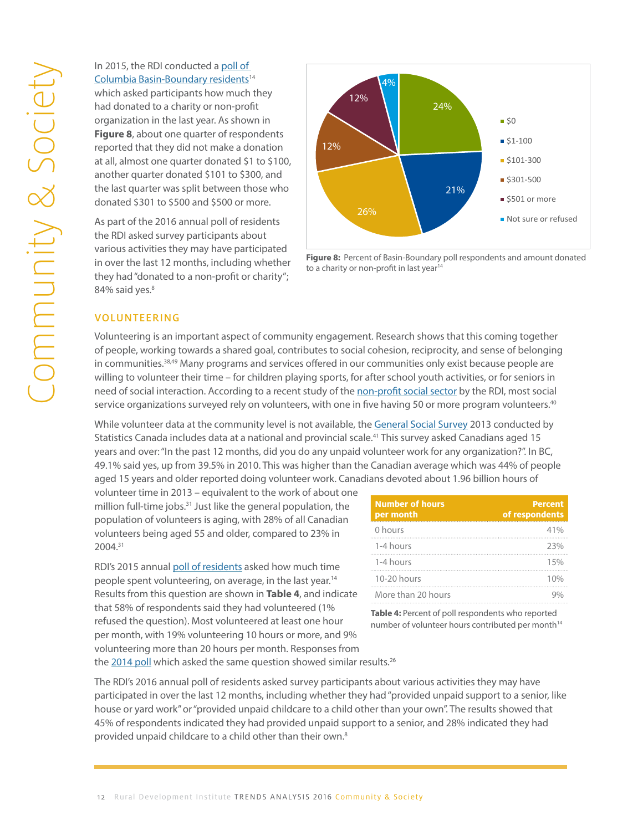# <span id="page-11-0"></span>In 2015, the RDI conducted a <u>poll of</u><br>
Columbia Basin-Boundary residents<sup>1</sup><br>
which asked participants how much<br>
had donated to a charity or non-prot<br>
organization in the last year. As show<br> **Figure 8**, about one quarter o [Columbia Basin-Boundary residents](http://datacat.cbrdi.ca/sites/default/files/attachments/Report_2015PollOfResidents_Final-1[1].pdf )<sup>14</sup> which asked participants how much they had donated to a charity or non-profit organization in the last year. As shown in **Figure 8**, about one quarter of respondents reported that they did not make a donation at all, almost one quarter donated \$1 to \$100, another quarter donated \$101 to \$300, and the last quarter was split between those who donated \$301 to \$500 and \$500 or more.

As part of the 2016 annual poll of residents the RDI asked survey participants about various activities they may have participated in over the last 12 months, including whether they had "donated to a non-profit or charity"; 84% said yes.<sup>8</sup> **Figure 8: Percent of Basin-Boundary poll respondents and amount donated to a charity or non-profit in last** 



**Figure 8:** Percent of Basin-Boundary poll respondents and amount donated to a charity or non-profit in last year<sup>14</sup>

#### VOLUNTEERING

Volunteering is an important aspect of community engagement. Research shows that this coming together of people, working towards a shared goal, contributes to social cohesion, reciprocity, and sense of belonging in communities.<sup>38,49</sup> Many programs and services offered in our communities only exist because people are willing to volunteer their time – for children playing sports, for after school youth activities, or for seniors in need of social interaction. According to a recent study of the <u>non-profit social sector</u> by the RDI, most social service organizations surveyed rely on volunteers, with one in five having 50 or more program volunteers.<sup>40</sup>

While volunteer data at the community level is not available, the <u>General Social Survey</u> 2013 conducted by Statistics Canada includes data at a national and provincial scale.<sup>41</sup> This survey asked Canadians aged 15 years and over: "In the past 12 months, did you do any unpaid volunteer work for any organization?". In BC, exto and the Party in the place of internal, and you are any amplied relatively internally surganizations in F<br>49.1% said yes, up from 39.5% in 2010. This was higher than the Canadian average which was 44% of people aged 15 years and older reported doing volunteer work. Canadians devoted about 1.96 billion hours of

volunteer time in 2013 – equivalent to the work of about one million full-time in 2013 equivalent to the work of about one<br>million full-time jobs.<sup>31</sup> Just like the general population, the General Survey 2013 conducted by the General S minori run anno jobs. Bust include the general population, the statistic per month volunteers being aged 55 and older, compared to 23% in and a local yes, up from 30.1% said yes, up from 39% in 41% said yes, up from 30.5% in 30.5% in 30.5% in 30.5% in 30.5% in 30.5% in 30.5% in 30.5% in 30.5% in 30.5% in 2004.31

RDI's 2015 annual [poll of residents](http://datacat.cbrdi.ca/sites/default/files/attachments/Report_2015PollOfResidents_Final-1[1].pdf ) asked how much time people spent volunteering, on average, in the last year.14 Results from this question are shown in **Table 4**, and indicate that 58% of respondents said they had volunteered (1% refused the question). Most volunteered at least one hour per month, with 19% volunteering 10 hours or more, and 9% volunteering more than 20 hours per month. Responses from

| gan and he collected in the collect of the collection of the collection of the collection of the collection of<br>st like the general population, the<br>s aging, with 28% of all Canadian | <b>Number of hours</b><br>per month | <b>Percent</b><br>of respondents |
|--------------------------------------------------------------------------------------------------------------------------------------------------------------------------------------------|-------------------------------------|----------------------------------|
| and older, compared to 23% in                                                                                                                                                              | 0 hours                             | 41%                              |
|                                                                                                                                                                                            | 1-4 hours                           | 23%                              |
| esidents asked how much time                                                                                                                                                               | 1-4 hours                           | 5%                               |
| g, on average, in the last year. <sup>14</sup>                                                                                                                                             | $10-20$ hours                       | 1 በ%                             |
| are shown in Table 4, and indicate                                                                                                                                                         | More than 20 hours                  |                                  |

**Table 4:** Percent of poll respondents who reported number of volunteer hours contributed per month<sup>14</sup>

the [2014 poll](http://datacat.cbrdi.ca/sites/default/files/attachments/Report_2015PollOfResidents_Final-1[1].pdf) which asked the same question showed similar results.<sup>26</sup>

The RDI's 2016 annual poll of residents asked survey participants about various activities they may have participated in over the last 12 months, including whether they had "provided unpaid support to a senior, like house or yard work" or "provided unpaid childcare to a child other than your own". The results showed that 45% of respondents indicated they had provided unpaid support to a senior, and 28% indicated they had provided unpaid childcare to a child other than their own.8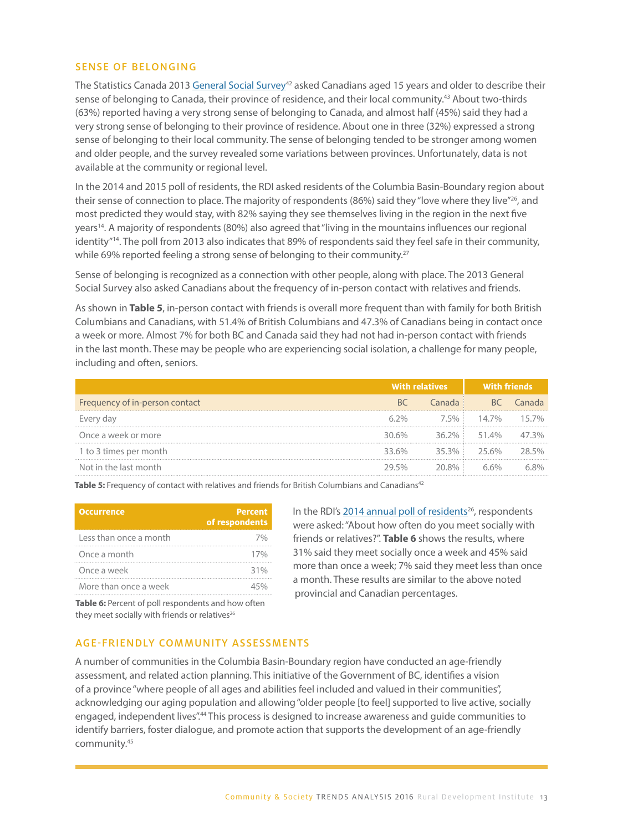#### <span id="page-12-0"></span>SENSE OF BELONGING

The Statistics Canada 2013 [General Social Survey](http://www23.statcan.gc.ca/imdb/p2SV.pl?Function=getSurvey&SDDS=5024)<sup>42</sup> asked Canadians aged 15 years and older to describe their sense of belonging to Canada, their province of residence, and their local community.<sup>43</sup> About two-thirds (63%) reported having a very strong sense of belonging to Canada, and almost half (45%) said they had a very strong sense of belonging to their province of residence. About one in three (32%) expressed a strong sense of belonging to their local community. The sense of belonging tended to be stronger among women and older people, and the survey revealed some variations between provinces. Unfortunately, data is not available at the community or regional level.

In the 2014 and 2015 poll of residents, the RDI asked residents of the Columbia Basin-Boundary region about their sense of connection to place. The majority of respondents (86%) said they "love where they live"<sup>26</sup>, and most predicted they would stay, with 82% saying they see themselves living in the region in the next five years14. A majority of respondents (80%) also agreed that "living in the mountains influences our regional identity"14. The poll from 2013 also indicates that 89% of respondents said they feel safe in their community, while 69% reported feeling a strong sense of belonging to their community.<sup>27</sup>

Sense of belonging is recognized as a connection with other people, along with place. The 2013 General Social Survey also asked Canadians about the frequency of in-person contact with relatives and friends.

As shown in **Table 5**, in-person contact with friends is overall more frequent than with family for both British Columbians and Canadians, with 51.4% of British Columbians and 47.3% of Canadians being in contact once a week or more. Almost 7% for both BC and Canada said they had not had in-person contact with friends in the last month. These may be people who are experiencing social isolation, a challenge for many people, including and often, seniors.

|                                |         | With relatives | <b>With friends</b> |        |
|--------------------------------|---------|----------------|---------------------|--------|
| Frequency of in-person contact | BC      | Canada i       | BC                  | Canada |
| Every day                      | $6.2\%$ |                | 7.5% 14.7% 15.7%    |        |
| Once a week or more            | 30.6%   |                | 36.2% 51.4%         | 47 3%  |
| 1 to 3 times per month         | 33.6%   |                | 35.3% 25.6%         | 28.5%  |
| Not in the last month          | 29.5%   | 20.8%          | 66%                 |        |

Table 5: Frequency of contact with relatives and friends for British Columbians and Canadians<sup>42</sup>

| <b>Occurrence</b>      | <b>Percent</b><br>of respondents |
|------------------------|----------------------------------|
| Less than once a month | 70/2                             |
| Once a month           | 17%                              |
| Once a week            | 31%                              |
| More than once a week  | 45%                              |

In the RDI's 2014 annual poll of residents<sup>26</sup>, respondents were asked: "About how often do you meet socially with friends or relatives?". **Table 6** shows the results, where 31% said they meet socially once a week and 45% said more than once a week; 7% said they meet less than once a month. These results are similar to the above noted provincial and Canadian percentages.

Table 6: Percent of poll respondents and how often they meet socially with friends or relatives $26$ 

#### AGE-FRIENDLY COMMUNITY ASSESSMENTS

A number of communities in the Columbia Basin-Boundary region have conducted an age-friendly assessment, and related action planning. This initiative of the Government of BC, identifies a vision of a province "where people of all ages and abilities feel included and valued in their communities", acknowledging our aging population and allowing "older people [to feel] supported to live active, socially engaged, independent lives".44 This process is designed to increase awareness and guide communities to identify barriers, foster dialogue, and promote action that supports the development of an age-friendly community.45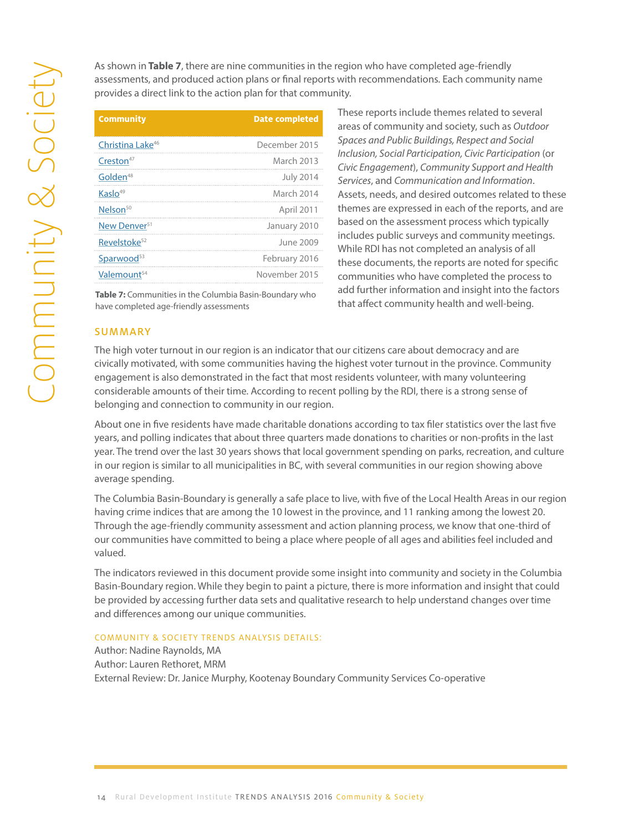assessments, and produced action plans or final reports with recommendations. Each community name provides a direct link to the action plan for that community.

| <b>Community</b>                                                                                   | <b>Date completed</b>                                                                                                                                                                 | These reports include themes related to:<br>areas of community and society, such as                                                                                                                                                                                                                                                                                                                             |
|----------------------------------------------------------------------------------------------------|---------------------------------------------------------------------------------------------------------------------------------------------------------------------------------------|-----------------------------------------------------------------------------------------------------------------------------------------------------------------------------------------------------------------------------------------------------------------------------------------------------------------------------------------------------------------------------------------------------------------|
| Christina Lake <sup>46</sup>                                                                       | December 2015                                                                                                                                                                         | Spaces and Public Buildings, Respect and S                                                                                                                                                                                                                                                                                                                                                                      |
| Creston <sup>47</sup>                                                                              | March 2013                                                                                                                                                                            | Inclusion, Social Participation, Civic Partici<br>Civic Engagement), Community Support a                                                                                                                                                                                                                                                                                                                        |
| Golden <sup>48</sup>                                                                               | <b>July 2014</b>                                                                                                                                                                      | Services, and Communication and Informo                                                                                                                                                                                                                                                                                                                                                                         |
| Kaslo <sup>49</sup>                                                                                | March 2014                                                                                                                                                                            | Assets, needs, and desired outcomes rela                                                                                                                                                                                                                                                                                                                                                                        |
| Nelson <sup>50</sup>                                                                               | April 2011<br>based on the assessment process which<br>January 2010<br>includes public surveys and community<br>June 2009<br>While RDI has not completed an analysis<br>February 2016 | themes are expressed in each of the repo                                                                                                                                                                                                                                                                                                                                                                        |
| New Denver <sup>51</sup>                                                                           |                                                                                                                                                                                       |                                                                                                                                                                                                                                                                                                                                                                                                                 |
| Revelstoke <sup>52</sup>                                                                           |                                                                                                                                                                                       |                                                                                                                                                                                                                                                                                                                                                                                                                 |
| Sparwood <sup>53</sup>                                                                             |                                                                                                                                                                                       | these documents, the reports are noted f                                                                                                                                                                                                                                                                                                                                                                        |
| Valemount <sup>54</sup>                                                                            | November 2015                                                                                                                                                                         | communities who have completed the p                                                                                                                                                                                                                                                                                                                                                                            |
| Table 7: Communities in the Columbia Basin-Boundary who<br>have completed age-friendly assessments |                                                                                                                                                                                       | add further information and insight into<br>that affect community health and well-b                                                                                                                                                                                                                                                                                                                             |
| <b>SUMMARY</b>                                                                                     |                                                                                                                                                                                       |                                                                                                                                                                                                                                                                                                                                                                                                                 |
|                                                                                                    |                                                                                                                                                                                       | The high voter turnout in our region is an indicator that our citizens care about democracy and ar<br>civically motivated, with some communities having the highest voter turnout in the province. Co<br>engagement is also demonstrated in the fact that most residents volunteer, with many volunteeri<br>considerable amounts of their time. According to recent polling by the RDI, there is a strong sense |

These reports include themes related to several areas of community and society, such as *Outdoor Spaces and Public Buildings, Respect and Social Inclusion, Social Participation, Civic Participation* (or *Civic Engagement*), *Community Support and Health Services*, and *Communication and Information*. Assets, needs, and desired outcomes related to these themes are expressed in each of the reports, and are based on the assessment process which typically includes public surveys and community meetings. While RDI has not completed an analysis of all these documents, the reports are noted for specific communities who have completed the process to add further information and insight into the factors that affect community health and well-being.

#### **SUMMARY**

The high voter turnout in our region is an indicator that our citizens care about democracy and are civically motivated, with some communities having the highest voter turnout in the province. Community engagement is also demonstrated in the fact that most residents volunteer, with many volunteering considerable amounts of their time. According to recent polling by the RDI, there is a strong sense of belonging and connection to community in our region.

About one in five residents have made charitable donations according to tax filer statistics over the last five years, and polling indicates that about three quarters made donations to charities or non-profits in the last year. The trend over the last 30 years shows that local government spending on parks, recreation, and culture in our region is similar to all municipalities in BC, with several communities in our region showing above average spending.

The Columbia Basin-Boundary is generally a safe place to live, with five of the Local Health Areas in our region having crime indices that are among the 10 lowest in the province, and 11 ranking among the lowest 20. Through the age-friendly community assessment and action planning process, we know that one-third of our communities have committed to being a place where people of all ages and abilities feel included and valued.

The indicators reviewed in this document provide some insight into community and society in the Columbia Basin-Boundary region. While they begin to paint a picture, there is more information and insight that could be provided by accessing further data sets and qualitative research to help understand changes over time and differences among our unique communities.

#### COMMUNITY & SOCIETY TRENDS ANALYSIS DETAILS:

Author: Nadine Raynolds, MA Author: Lauren Rethoret, MRM External Review: Dr. Janice Murphy, Kootenay Boundary Community Services Co-operative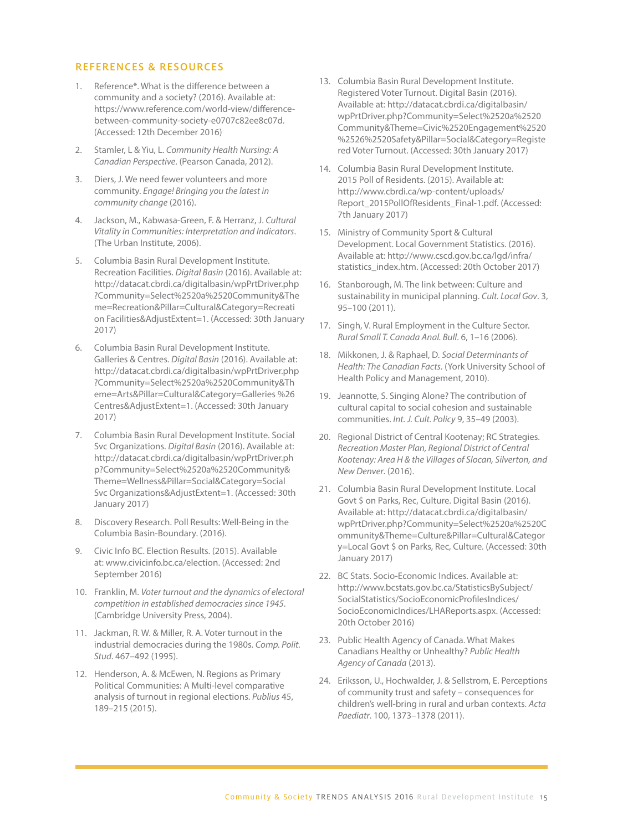#### REFERENCES & RESOURCES

- 1. Reference\*. What is the difference between a community and a society? (2016). Available at: https://www.reference.com/world-view/differencebetween-community-society-e0707c82ee8c07d. (Accessed: 12th December 2016)
- 2. Stamler, L & Yiu, L. *Community Health Nursing: A Canadian Perspective*. (Pearson Canada, 2012).
- 3. Diers, J. We need fewer volunteers and more community. *Engage! Bringing you the latest in community change* (2016).
- 4. Jackson, M., Kabwasa-Green, F. & Herranz, J. *Cultural Vitality in Communities: Interpretation and Indicators*. (The Urban Institute, 2006).
- 5. Columbia Basin Rural Development Institute. Recreation Facilities. *Digital Basin* (2016). Available at: http://datacat.cbrdi.ca/digitalbasin/wpPrtDriver.php ?Community=Select%2520a%2520Community&The me=Recreation&Pillar=Cultural&Category=Recreati on Facilities&AdjustExtent=1. (Accessed: 30th January 2017)
- 6. Columbia Basin Rural Development Institute. Galleries & Centres. *Digital Basin* (2016). Available at: http://datacat.cbrdi.ca/digitalbasin/wpPrtDriver.php ?Community=Select%2520a%2520Community&Th eme=Arts&Pillar=Cultural&Category=Galleries %26 Centres&AdjustExtent=1. (Accessed: 30th January 2017)
- 7. Columbia Basin Rural Development Institute. Social Svc Organizations. *Digital Basin* (2016). Available at: http://datacat.cbrdi.ca/digitalbasin/wpPrtDriver.ph p?Community=Select%2520a%2520Community& Theme=Wellness&Pillar=Social&Category=Social Svc Organizations&AdjustExtent=1. (Accessed: 30th January 2017)
- 8. Discovery Research. Poll Results: Well-Being in the Columbia Basin-Boundary. (2016).
- 9. Civic Info BC. Election Results. (2015). Available at: www.civicinfo.bc.ca/election. (Accessed: 2nd September 2016)
- 10. Franklin, M. *Voter turnout and the dynamics of electoral competition in established democracies since 1945*. (Cambridge University Press, 2004).
- 11. Jackman, R. W. & Miller, R. A. Voter turnout in the industrial democracies during the 1980s. *Comp. Polit. Stud*. 467–492 (1995).
- 12. Henderson, A. & McEwen, N. Regions as Primary Political Communities: A Multi-level comparative analysis of turnout in regional elections. *Publius* 45, 189–215 (2015).
- 13. Columbia Basin Rural Development Institute. Registered Voter Turnout. Digital Basin (2016). Available at: http://datacat.cbrdi.ca/digitalbasin/ wpPrtDriver.php?Community=Select%2520a%2520 Community&Theme=Civic%2520Engagement%2520 %2526%2520Safety&Pillar=Social&Category=Registe red Voter Turnout. (Accessed: 30th January 2017)
- 14. Columbia Basin Rural Development Institute. 2015 Poll of Residents. (2015). Available at: http://www.cbrdi.ca/wp-content/uploads/ Report\_2015PollOfResidents\_Final-1.pdf. (Accessed: 7th January 2017)
- 15. Ministry of Community Sport & Cultural Development. Local Government Statistics. (2016). Available at: http://www.cscd.gov.bc.ca/lgd/infra/ statistics index.htm. (Accessed: 20th October 2017)
- 16. Stanborough, M. The link between: Culture and sustainability in municipal planning. *Cult. Local Gov*. 3, 95–100 (2011).
- 17. Singh, V. Rural Employment in the Culture Sector. *Rural Small T. Canada Anal. Bull*. 6, 1–16 (2006).
- 18. Mikkonen, J. & Raphael, D. *Social Determinants of Health: The Canadian Facts*. (York University School of Health Policy and Management, 2010).
- 19. Jeannotte, S. Singing Alone? The contribution of cultural capital to social cohesion and sustainable communities. *Int. J. Cult. Policy* 9, 35–49 (2003).
- 20. Regional District of Central Kootenay; RC Strategies. *Recreation Master Plan, Regional District of Central Kootenay: Area H & the Villages of Slocan, Silverton, and New Denver*. (2016).
- 21. Columbia Basin Rural Development Institute. Local Govt \$ on Parks, Rec, Culture. Digital Basin (2016). Available at: http://datacat.cbrdi.ca/digitalbasin/ wpPrtDriver.php?Community=Select%2520a%2520C ommunity&Theme=Culture&Pillar=Cultural&Categor y=Local Govt \$ on Parks, Rec, Culture. (Accessed: 30th January 2017)
- 22. BC Stats. Socio-Economic Indices. Available at: http://www.bcstats.gov.bc.ca/StatisticsBySubject/ SocialStatistics/SocioEconomicProfilesIndices/ SocioEconomicIndices/LHAReports.aspx. (Accessed: 20th October 2016)
- 23. Public Health Agency of Canada. What Makes Canadians Healthy or Unhealthy? *Public Health Agency of Canada* (2013).
- 24. Eriksson, U., Hochwalder, J. & Sellstrom, E. Perceptions of community trust and safety – consequences for children's well-bring in rural and urban contexts. *Acta Paediatr*. 100, 1373–1378 (2011).